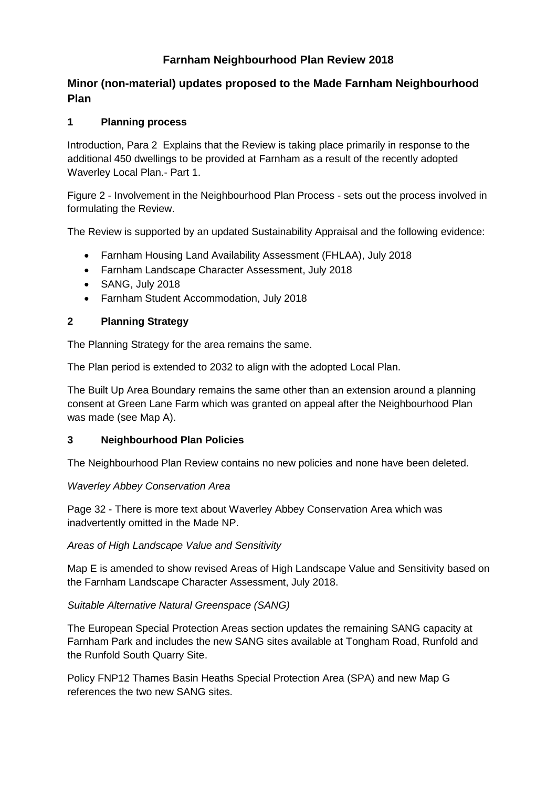# **Farnham Neighbourhood Plan Review 2018**

## **Minor (non-material) updates proposed to the Made Farnham Neighbourhood Plan**

## **1 Planning process**

Introduction, Para 2 Explains that the Review is taking place primarily in response to the additional 450 dwellings to be provided at Farnham as a result of the recently adopted Waverley Local Plan.- Part 1.

Figure 2 - Involvement in the Neighbourhood Plan Process - sets out the process involved in formulating the Review.

The Review is supported by an updated Sustainability Appraisal and the following evidence:

- Farnham Housing Land Availability Assessment (FHLAA), July 2018
- Farnham Landscape Character Assessment, July 2018
- SANG, July 2018
- Farnham Student Accommodation, July 2018

## **2 Planning Strategy**

The Planning Strategy for the area remains the same.

The Plan period is extended to 2032 to align with the adopted Local Plan.

The Built Up Area Boundary remains the same other than an extension around a planning consent at Green Lane Farm which was granted on appeal after the Neighbourhood Plan was made (see Map A).

## **3 Neighbourhood Plan Policies**

The Neighbourhood Plan Review contains no new policies and none have been deleted.

#### *Waverley Abbey Conservation Area*

Page 32 - There is more text about Waverley Abbey Conservation Area which was inadvertently omitted in the Made NP.

#### *Areas of High Landscape Value and Sensitivity*

Map E is amended to show revised Areas of High Landscape Value and Sensitivity based on the Farnham Landscape Character Assessment, July 2018.

## *Suitable Alternative Natural Greenspace (SANG)*

The European Special Protection Areas section updates the remaining SANG capacity at Farnham Park and includes the new SANG sites available at Tongham Road, Runfold and the Runfold South Quarry Site.

Policy FNP12 Thames Basin Heaths Special Protection Area (SPA) and new Map G references the two new SANG sites.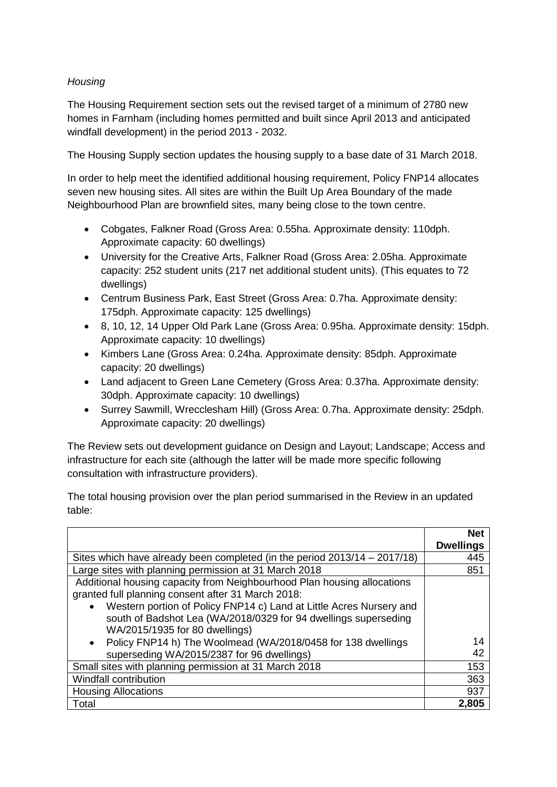## *Housing*

The Housing Requirement section sets out the revised target of a minimum of 2780 new homes in Farnham (including homes permitted and built since April 2013 and anticipated windfall development) in the period 2013 - 2032.

The Housing Supply section updates the housing supply to a base date of 31 March 2018.

In order to help meet the identified additional housing requirement, Policy FNP14 allocates seven new housing sites. All sites are within the Built Up Area Boundary of the made Neighbourhood Plan are brownfield sites, many being close to the town centre.

- Cobgates, Falkner Road (Gross Area: 0.55ha. Approximate density: 110dph. Approximate capacity: 60 dwellings)
- University for the Creative Arts, Falkner Road (Gross Area: 2.05ha. Approximate capacity: 252 student units (217 net additional student units). (This equates to 72 dwellings)
- Centrum Business Park, East Street (Gross Area: 0.7ha. Approximate density: 175dph. Approximate capacity: 125 dwellings)
- 8, 10, 12, 14 Upper Old Park Lane (Gross Area: 0.95ha. Approximate density: 15dph. Approximate capacity: 10 dwellings)
- Kimbers Lane (Gross Area: 0.24ha. Approximate density: 85dph. Approximate capacity: 20 dwellings)
- Land adjacent to Green Lane Cemetery (Gross Area: 0.37ha. Approximate density: 30dph. Approximate capacity: 10 dwellings)
- Surrey Sawmill, Wrecclesham Hill) (Gross Area: 0.7ha. Approximate density: 25dph. Approximate capacity: 20 dwellings)

The Review sets out development guidance on Design and Layout; Landscape; Access and infrastructure for each site (although the latter will be made more specific following consultation with infrastructure providers).

The total housing provision over the plan period summarised in the Review in an updated table:

|                                                                                  | <b>Net</b>       |
|----------------------------------------------------------------------------------|------------------|
|                                                                                  | <b>Dwellings</b> |
| Sites which have already been completed (in the period 2013/14 – 2017/18)        | 445              |
| Large sites with planning permission at 31 March 2018                            | 851              |
| Additional housing capacity from Neighbourhood Plan housing allocations          |                  |
| granted full planning consent after 31 March 2018:                               |                  |
| Western portion of Policy FNP14 c) Land at Little Acres Nursery and<br>$\bullet$ |                  |
| south of Badshot Lea (WA/2018/0329 for 94 dwellings superseding                  |                  |
| WA/2015/1935 for 80 dwellings)                                                   |                  |
| Policy FNP14 h) The Woolmead (WA/2018/0458 for 138 dwellings<br>$\bullet$        | 14               |
| superseding WA/2015/2387 for 96 dwellings)                                       | 42               |
| Small sites with planning permission at 31 March 2018                            | 153              |
| Windfall contribution                                                            | 363              |
| <b>Housing Allocations</b>                                                       | 937              |
| Total                                                                            | 2,805            |